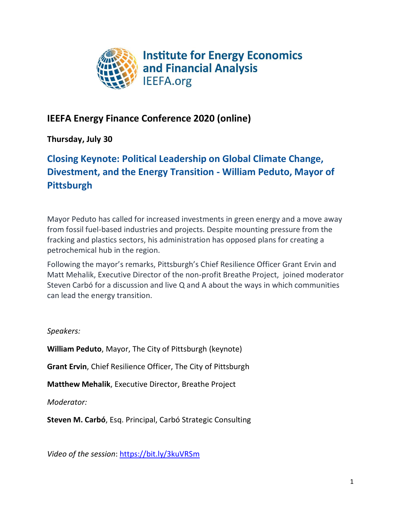

# **IEEFA Energy Finance Conference 2020 (online)**

# **Thursday, July 30**

# **Closing Keynote: Political Leadership on Global Climate Change, Divestment, and the Energy Transition - William Peduto, Mayor of Pittsburgh**

Mayor Peduto has called for increased investments in green energy and a move away from fossil fuel-based industries and projects. Despite mounting pressure from the fracking and plastics sectors, his administration has opposed plans for creating a petrochemical hub in the region.

Following the mayor's remarks, Pittsburgh's Chief Resilience Officer Grant Ervin and Matt Mehalik, Executive Director of the non-profit Breathe Project, joined moderator Steven Carbó for a discussion and live Q and A about the ways in which communities can lead the energy transition.

# *Speakers:*

**William Peduto**, Mayor, The City of Pittsburgh (keynote)

**Grant Ervin**, Chief Resilience Officer, The City of Pittsburgh

**Matthew Mehalik**, Executive Director, Breathe Project

*Moderator:*

**Steven M. Carbó**, Esq. Principal, Carbó Strategic Consulting

*Video of the session*: https://bit.ly/3kuVRSm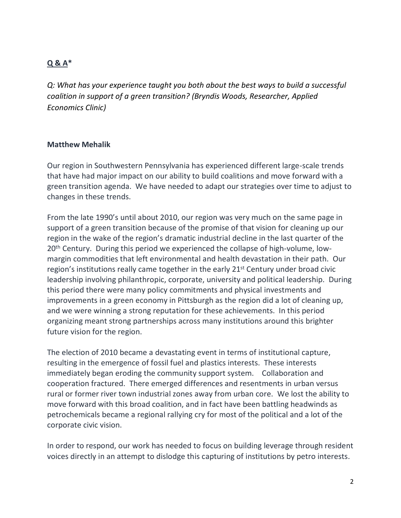# **Q & A\***

*Q: What has your experience taught you both about the best ways to build a successful coalition in support of a green transition? (Bryndis Woods, Researcher, Applied Economics Clinic)*

#### **Matthew Mehalik**

Our region in Southwestern Pennsylvania has experienced different large-scale trends that have had major impact on our ability to build coalitions and move forward with a green transition agenda. We have needed to adapt our strategies over time to adjust to changes in these trends.

From the late 1990's until about 2010, our region was very much on the same page in support of a green transition because of the promise of that vision for cleaning up our region in the wake of the region's dramatic industrial decline in the last quarter of the 20<sup>th</sup> Century. During this period we experienced the collapse of high-volume, lowmargin commodities that left environmental and health devastation in their path. Our region's institutions really came together in the early 21<sup>st</sup> Century under broad civic leadership involving philanthropic, corporate, university and political leadership. During this period there were many policy commitments and physical investments and improvements in a green economy in Pittsburgh as the region did a lot of cleaning up, and we were winning a strong reputation for these achievements. In this period organizing meant strong partnerships across many institutions around this brighter future vision for the region.

The election of 2010 became a devastating event in terms of institutional capture, resulting in the emergence of fossil fuel and plastics interests. These interests immediately began eroding the community support system. Collaboration and cooperation fractured. There emerged differences and resentments in urban versus rural or former river town industrial zones away from urban core. We lost the ability to move forward with this broad coalition, and in fact have been battling headwinds as petrochemicals became a regional rallying cry for most of the political and a lot of the corporate civic vision.

In order to respond, our work has needed to focus on building leverage through resident voices directly in an attempt to dislodge this capturing of institutions by petro interests.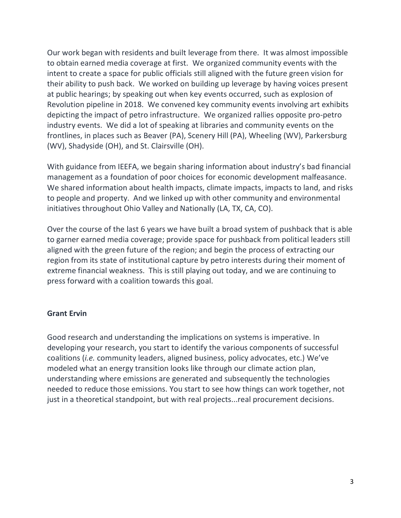Our work began with residents and built leverage from there. It was almost impossible to obtain earned media coverage at first. We organized community events with the intent to create a space for public officials still aligned with the future green vision for their ability to push back. We worked on building up leverage by having voices present at public hearings; by speaking out when key events occurred, such as explosion of Revolution pipeline in 2018. We convened key community events involving art exhibits depicting the impact of petro infrastructure. We organized rallies opposite pro-petro industry events. We did a lot of speaking at libraries and community events on the frontlines, in places such as Beaver (PA), Scenery Hill (PA), Wheeling (WV), Parkersburg (WV), Shadyside (OH), and St. Clairsville (OH).

With guidance from IEEFA, we begain sharing information about industry's bad financial management as a foundation of poor choices for economic development malfeasance. We shared information about health impacts, climate impacts, impacts to land, and risks to people and property. And we linked up with other community and environmental initiatives throughout Ohio Valley and Nationally (LA, TX, CA, CO).

Over the course of the last 6 years we have built a broad system of pushback that is able to garner earned media coverage; provide space for pushback from political leaders still aligned with the green future of the region; and begin the process of extracting our region from its state of institutional capture by petro interests during their moment of extreme financial weakness. This is still playing out today, and we are continuing to press forward with a coalition towards this goal.

#### **Grant Ervin**

Good research and understanding the implications on systems is imperative. In developing your research, you start to identify the various components of successful coalitions (*i.e.* community leaders, aligned business, policy advocates, etc.) We've modeled what an energy transition looks like through our climate action plan, understanding where emissions are generated and subsequently the technologies needed to reduce those emissions. You start to see how things can work together, not just in a theoretical standpoint, but with real projects...real procurement decisions.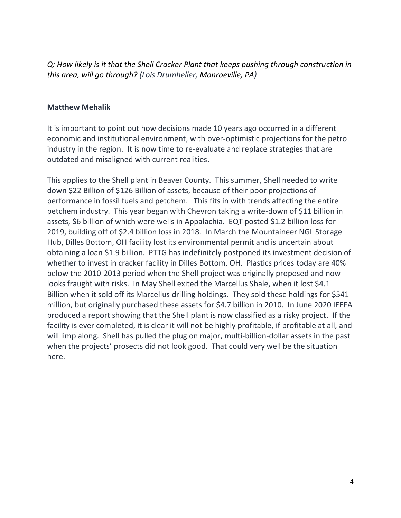*Q: How likely is it that the Shell Cracker Plant that keeps pushing through construction in this area, will go through? (Lois Drumheller, Monroeville, PA)*

#### **Matthew Mehalik**

It is important to point out how decisions made 10 years ago occurred in a different economic and institutional environment, with over-optimistic projections for the petro industry in the region. It is now time to re-evaluate and replace strategies that are outdated and misaligned with current realities.

This applies to the Shell plant in Beaver County. This summer, Shell needed to write down \$22 Billion of \$126 Billion of assets, because of their poor projections of performance in fossil fuels and petchem. This fits in with trends affecting the entire petchem industry. This year began with Chevron taking a write-down of \$11 billion in assets, \$6 billion of which were wells in Appalachia. EQT posted \$1.2 billion loss for 2019, building off of \$2.4 billion loss in 2018. In March the Mountaineer NGL Storage Hub, Dilles Bottom, OH facility lost its environmental permit and is uncertain about obtaining a loan \$1.9 billion. PTTG has indefinitely postponed its investment decision of whether to invest in cracker facility in Dilles Bottom, OH. Plastics prices today are 40% below the 2010-2013 period when the Shell project was originally proposed and now looks fraught with risks. In May Shell exited the Marcellus Shale, when it lost \$4.1 Billion when it sold off its Marcellus drilling holdings. They sold these holdings for \$541 million, but originally purchased these assets for \$4.7 billion in 2010. In June 2020 IEEFA produced a report showing that the Shell plant is now classified as a risky project. If the facility is ever completed, it is clear it will not be highly profitable, if profitable at all, and will limp along. Shell has pulled the plug on major, multi-billion-dollar assets in the past when the projects' prosects did not look good. That could very well be the situation here.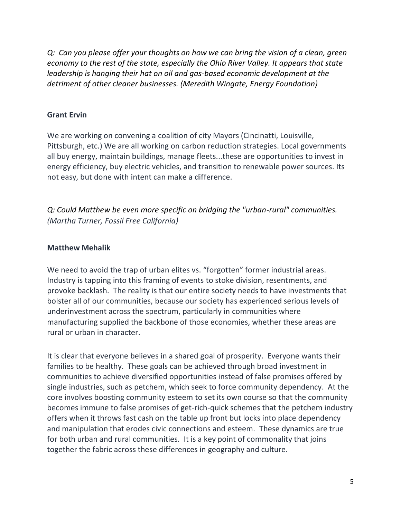*Q: Can you please offer your thoughts on how we can bring the vision of a clean, green economy to the rest of the state, especially the Ohio River Valley. It appears that state leadership is hanging their hat on oil and gas-based economic development at the detriment of other cleaner businesses. (Meredith Wingate, Energy Foundation)*

### **Grant Ervin**

We are working on convening a coalition of city Mayors (Cincinatti, Louisville, Pittsburgh, etc.) We are all working on carbon reduction strategies. Local governments all buy energy, maintain buildings, manage fleets...these are opportunities to invest in energy efficiency, buy electric vehicles, and transition to renewable power sources. Its not easy, but done with intent can make a difference.

*Q: Could Matthew be even more specific on bridging the "urban-rural" communities. (Martha Turner, Fossil Free California)*

# **Matthew Mehalik**

We need to avoid the trap of urban elites vs. "forgotten" former industrial areas. Industry is tapping into this framing of events to stoke division, resentments, and provoke backlash. The reality is that our entire society needs to have investments that bolster all of our communities, because our society has experienced serious levels of underinvestment across the spectrum, particularly in communities where manufacturing supplied the backbone of those economies, whether these areas are rural or urban in character.

It is clear that everyone believes in a shared goal of prosperity. Everyone wants their families to be healthy. These goals can be achieved through broad investment in communities to achieve diversified opportunities instead of false promises offered by single industries, such as petchem, which seek to force community dependency. At the core involves boosting community esteem to set its own course so that the community becomes immune to false promises of get-rich-quick schemes that the petchem industry offers when it throws fast cash on the table up front but locks into place dependency and manipulation that erodes civic connections and esteem. These dynamics are true for both urban and rural communities. It is a key point of commonality that joins together the fabric across these differences in geography and culture.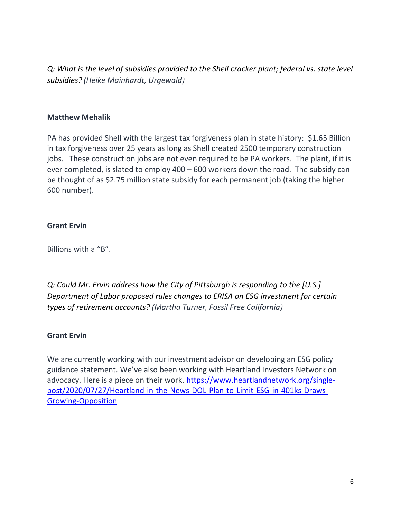*Q: What is the level of subsidies provided to the Shell cracker plant; federal vs. state level subsidies? (Heike Mainhardt, Urgewald)*

### **Matthew Mehalik**

PA has provided Shell with the largest tax forgiveness plan in state history: \$1.65 Billion in tax forgiveness over 25 years as long as Shell created 2500 temporary construction jobs. These construction jobs are not even required to be PA workers. The plant, if it is ever completed, is slated to employ 400 – 600 workers down the road. The subsidy can be thought of as \$2.75 million state subsidy for each permanent job (taking the higher 600 number).

# **Grant Ervin**

Billions with a "B".

*Q: Could Mr. Ervin address how the City of Pittsburgh is responding to the [U.S.] Department of Labor proposed rules changes to ERISA on ESG investment for certain types of retirement accounts? (Martha Turner, Fossil Free California)*

#### **Grant Ervin**

We are currently working with our investment advisor on developing an ESG policy guidance statement. We've also been working with Heartland Investors Network on advocacy. Here is a piece on their work. [https://www.heartlandnetwork.org/single](https://www.heartlandnetwork.org/single-post/2020/07/27/Heartland-in-the-News-DOL-Plan-to-Limit-ESG-in-401ks-Draws-Growing-Opposition)[post/2020/07/27/Heartland-in-the-News-DOL-Plan-to-Limit-ESG-in-401ks-Draws-](https://www.heartlandnetwork.org/single-post/2020/07/27/Heartland-in-the-News-DOL-Plan-to-Limit-ESG-in-401ks-Draws-Growing-Opposition)[Growing-Opposition](https://www.heartlandnetwork.org/single-post/2020/07/27/Heartland-in-the-News-DOL-Plan-to-Limit-ESG-in-401ks-Draws-Growing-Opposition)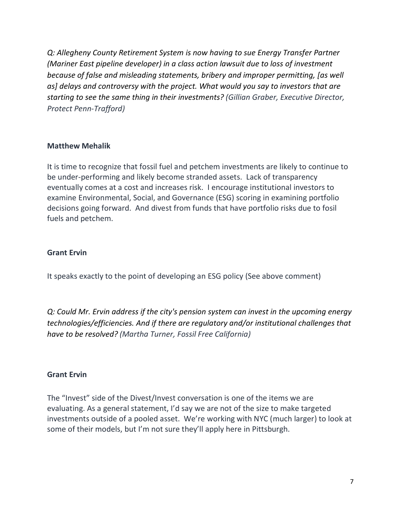*Q: Allegheny County Retirement System is now having to sue Energy Transfer Partner (Mariner East pipeline developer) in a class action lawsuit due to loss of investment because of false and misleading statements, bribery and improper permitting, [as well as] delays and controversy with the project. What would you say to investors that are starting to see the same thing in their investments? (Gillian Graber, Executive Director, Protect Penn-Trafford)*

# **Matthew Mehalik**

It is time to recognize that fossil fuel and petchem investments are likely to continue to be under-performing and likely become stranded assets. Lack of transparency eventually comes at a cost and increases risk. I encourage institutional investors to examine Environmental, Social, and Governance (ESG) scoring in examining portfolio decisions going forward. And divest from funds that have portfolio risks due to fosil fuels and petchem.

#### **Grant Ervin**

It speaks exactly to the point of developing an ESG policy (See above comment)

*Q: Could Mr. Ervin address if the city's pension system can invest in the upcoming energy technologies/efficiencies. And if there are regulatory and/or institutional challenges that have to be resolved? (Martha Turner, Fossil Free California)*

#### **Grant Ervin**

The "Invest" side of the Divest/Invest conversation is one of the items we are evaluating. As a general statement, I'd say we are not of the size to make targeted investments outside of a pooled asset. We're working with NYC (much larger) to look at some of their models, but I'm not sure they'll apply here in Pittsburgh.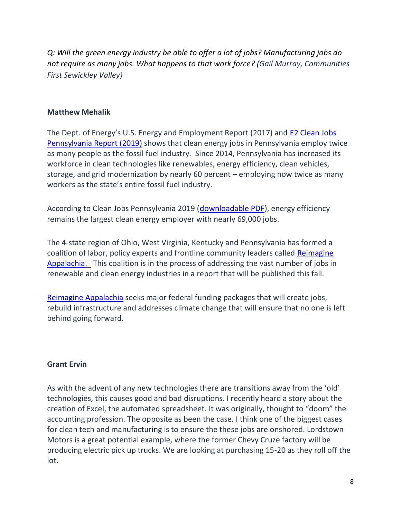*Q: Will the green energy industry be able to offer a lot of jobs? Manufacturing jobs do not require as many jobs. What happens to that work force? (Gail Murray, Communities First Sewickley Valley)*

#### **Matthew Mehalik**

The Dept. of Energy's U.S. Energy and Employment Report (2017) and [E2 Clean Jobs](https://e2.org/reports/clean-jobs-pennsylvania-2019/)  [Pennsylvania Report \(2019\)](https://e2.org/reports/clean-jobs-pennsylvania-2019/) shows that clean energy jobs in Pennsylvania employ twice as many people as the fossil fuel industry. Since 2014, Pennsylvania has increased its workforce in clean technologies like renewables, energy efficiency, clean vehicles, storage, and grid modernization by nearly 60 percent – employing now twice as many workers as the state's entire fossil fuel industry.

According to Clean Jobs Pennsylvania 2019 [\(downloadable PDF\)](https://www.e2.org/wp-content/uploads/2019/06/E2-Clean-Jobs-Pennsylvania-2019.pdf), energy efficiency remains the largest clean energy employer with nearly 69,000 jobs.

The 4-state region of Ohio, West Virginia, Kentucky and Pennsylvania has formed a coalition of labor, policy experts and frontline community leaders called [Reimagine](http://www.reimagineappalachia.org/)  [Appalachia.](http://www.reimagineappalachia.org/) This coalition is in the process of addressing the vast number of jobs in renewable and clean energy industries in a report that will be published this fall.

[Reimagine Appalachia](http://reimagineappalachia.org/) seeks major federal funding packages that will create jobs, rebuild infrastructure and addresses climate change that will ensure that no one is left behind going forward.

# **Grant Ervin**

As with the advent of any new technologies there are transitions away from the 'old' technologies, this causes good and bad disruptions. I recently heard a story about the creation of Excel, the automated spreadsheet. It was originally, thought to "doom" the accounting profession. The opposite as been the case. I think one of the biggest cases for clean tech and manufacturing is to ensure the these jobs are onshored. Lordstown Motors is a great potential example, where the former Chevy Cruze factory will be producing electric pick up trucks. We are looking at purchasing 15-20 as they roll off the lot.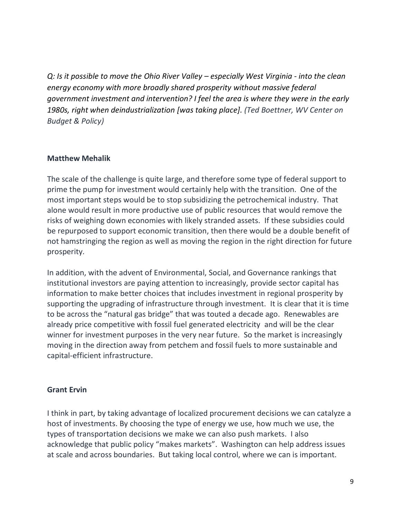*Q: Is it possible to move the Ohio River Valley – especially West Virginia - into the clean energy economy with more broadly shared prosperity without massive federal government investment and intervention? I feel the area is where they were in the early 1980s, right when deindustrialization [was taking place]. (Ted Boettner, WV Center on Budget & Policy)*

#### **Matthew Mehalik**

The scale of the challenge is quite large, and therefore some type of federal support to prime the pump for investment would certainly help with the transition. One of the most important steps would be to stop subsidizing the petrochemical industry. That alone would result in more productive use of public resources that would remove the risks of weighing down economies with likely stranded assets. If these subsidies could be repurposed to support economic transition, then there would be a double benefit of not hamstringing the region as well as moving the region in the right direction for future prosperity.

In addition, with the advent of Environmental, Social, and Governance rankings that institutional investors are paying attention to increasingly, provide sector capital has information to make better choices that includes investment in regional prosperity by supporting the upgrading of infrastructure through investment. It is clear that it is time to be across the "natural gas bridge" that was touted a decade ago. Renewables are already price competitive with fossil fuel generated electricity and will be the clear winner for investment purposes in the very near future. So the market is increasingly moving in the direction away from petchem and fossil fuels to more sustainable and capital-efficient infrastructure.

#### **Grant Ervin**

I think in part, by taking advantage of localized procurement decisions we can catalyze a host of investments. By choosing the type of energy we use, how much we use, the types of transportation decisions we make we can also push markets. I also acknowledge that public policy "makes markets". Washington can help address issues at scale and across boundaries. But taking local control, where we can is important.